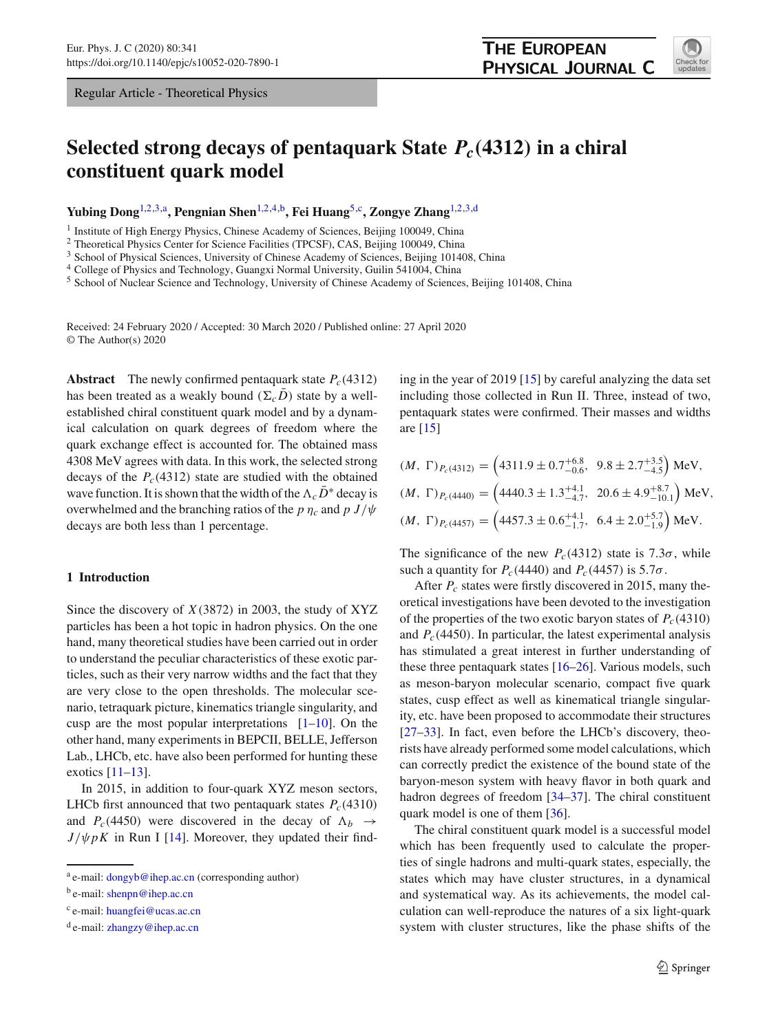Regular Article - Theoretical Physics

# **Selected strong decays of pentaquark State** *Pc(***4312***)* **in a chiral constituent quark model**

**Yubing Dong**[1,2](#page-0-0)[,3,](#page-0-1)a**, Pengnian Shen**[1,2](#page-0-0)[,4,](#page-0-2)b**, Fei Huang**[5,](#page-0-3)c**, Zongye Zhang**[1,2](#page-0-0)[,3,](#page-0-1)d

<sup>1</sup> Institute of High Energy Physics, Chinese Academy of Sciences, Beijing 100049, China

<sup>2</sup> Theoretical Physics Center for Science Facilities (TPCSF), CAS, Beijing 100049, China

<sup>3</sup> School of Physical Sciences, University of Chinese Academy of Sciences, Beijing 101408, China

<sup>4</sup> College of Physics and Technology, Guangxi Normal University, Guilin 541004, China

<sup>5</sup> School of Nuclear Science and Technology, University of Chinese Academy of Sciences, Beijing 101408, China

Received: 24 February 2020 / Accepted: 30 March 2020 / Published online: 27 April 2020 © The Author(s) 2020

**Abstract** The newly confirmed pentaquark state  $P_c(4312)$ has been treated as a weakly bound  $(\Sigma_c D)$  state by a wellestablished chiral constituent quark model and by a dynamical calculation on quark degrees of freedom where the quark exchange effect is accounted for. The obtained mass 4308 MeV agrees with data. In this work, the selected strong decays of the  $P_c(4312)$  state are studied with the obtained wave function. It is shown that the width of the  $\Lambda_cD^*$  decay is overwhelmed and the branching ratios of the *p*  $\eta_c$  and *p J*/ $\psi$ decays are both less than 1 percentage.

# **1 Introduction**

Since the discovery of *X*(3872) in 2003, the study of XYZ particles has been a hot topic in hadron physics. On the one hand, many theoretical studies have been carried out in order to understand the peculiar characteristics of these exotic particles, such as their very narrow widths and the fact that they are very close to the open thresholds. The molecular scenario, tetraquark picture, kinematics triangle singularity, and cusp are the most popular interpretations  $[1-10]$  $[1-10]$ . On the other hand, many experiments in BEPCII, BELLE, Jefferson Lab., LHCb, etc. have also been performed for hunting these exotics [\[11](#page-7-1)[–13\]](#page-7-2).

In 2015, in addition to four-quark XYZ meson sectors, LHCb first announced that two pentaquark states  $P_c(4310)$ and *P<sub>c</sub>*(4450) were discovered in the decay of  $\Lambda_b \rightarrow$  $J/\psi pK$  in Run I [\[14](#page-7-3)]. Moreover, they updated their find<span id="page-0-3"></span><span id="page-0-2"></span><span id="page-0-1"></span><span id="page-0-0"></span>ing in the year of 2019 [\[15](#page-7-4)] by careful analyzing the data set including those collected in Run II. Three, instead of two, pentaquark states were confirmed. Their masses and widths are [\[15](#page-7-4)]

$$
(M, \Gamma)_{P_c(4312)} = \left(4311.9 \pm 0.7^{+6.8}_{-0.6}, 9.8 \pm 2.7^{+3.5}_{-4.5}\right) \text{MeV},
$$
  

$$
(M, \Gamma)_{P_c(4440)} = \left(4440.3 \pm 1.3^{+4.1}_{-4.7}, 20.6 \pm 4.9^{+8.7}_{-10.1}\right) \text{MeV},
$$
  

$$
(M, \Gamma)_{P_c(4457)} = \left(4457.3 \pm 0.6^{+4.1}_{-1.7}, 6.4 \pm 2.0^{+5.7}_{-1.9}\right) \text{MeV}.
$$

The significance of the new  $P_c(4312)$  state is 7.3 $\sigma$ , while such a quantity for  $P_c(4440)$  and  $P_c(4457)$  is 5.7 $\sigma$ .

After *Pc* states were firstly discovered in 2015, many theoretical investigations have been devoted to the investigation of the properties of the two exotic baryon states of  $P_c(4310)$ and  $P_c(4450)$ . In particular, the latest experimental analysis has stimulated a great interest in further understanding of these three pentaquark states [\[16](#page-7-5)[–26](#page-7-6)]. Various models, such as meson-baryon molecular scenario, compact five quark states, cusp effect as well as kinematical triangle singularity, etc. have been proposed to accommodate their structures [\[27](#page-7-7)[–33](#page-7-8)]. In fact, even before the LHCb's discovery, theorists have already performed some model calculations, which can correctly predict the existence of the bound state of the baryon-meson system with heavy flavor in both quark and hadron degrees of freedom [\[34](#page-7-9)[–37\]](#page-7-10). The chiral constituent quark model is one of them [\[36](#page-7-11)].

The chiral constituent quark model is a successful model which has been frequently used to calculate the properties of single hadrons and multi-quark states, especially, the states which may have cluster structures, in a dynamical and systematical way. As its achievements, the model calculation can well-reproduce the natures of a six light-quark system with cluster structures, like the phase shifts of the



a e-mail: [dongyb@ihep.ac.cn](mailto:dongyb@ihep.ac.cn) (corresponding author)

b e-mail: [shenpn@ihep.ac.cn](mailto:shenpn@ihep.ac.cn)

c e-mail: [huangfei@ucas.ac.cn](mailto:huangfei@ucas.ac.cn)

 $d$  e-mail: [zhangzy@ihep.ac.cn](mailto:zhangzy@ihep.ac.cn)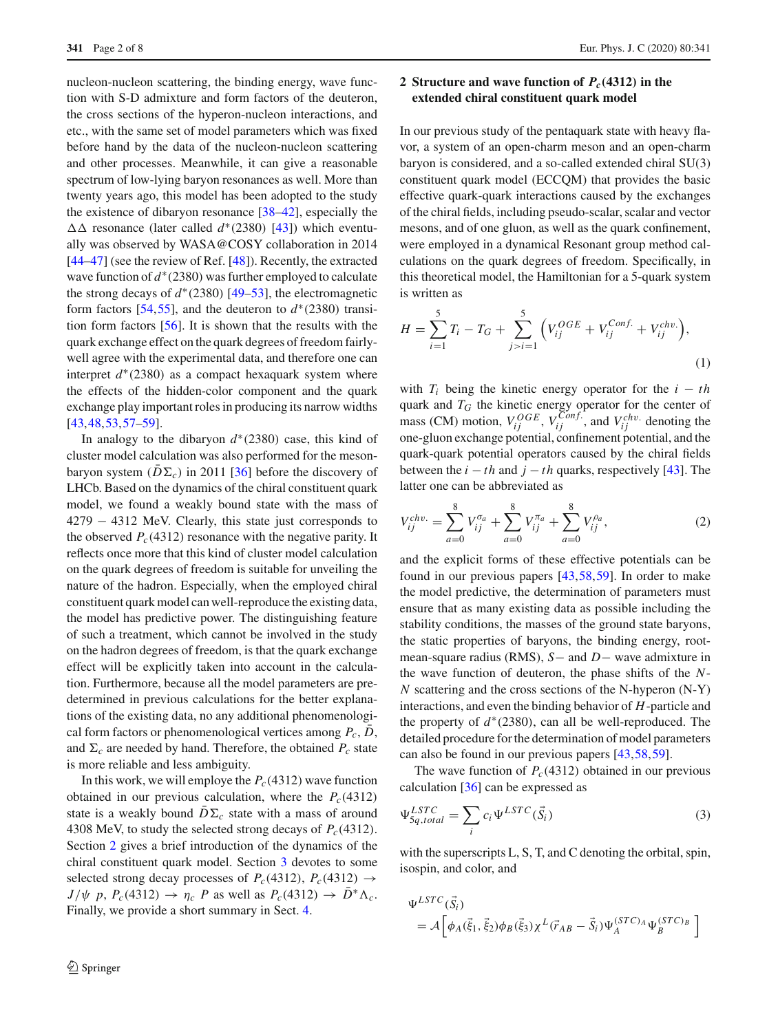nucleon-nucleon scattering, the binding energy, wave function with S-D admixture and form factors of the deuteron, the cross sections of the hyperon-nucleon interactions, and etc., with the same set of model parameters which was fixed before hand by the data of the nucleon-nucleon scattering and other processes. Meanwhile, it can give a reasonable spectrum of low-lying baryon resonances as well. More than twenty years ago, this model has been adopted to the study the existence of dibaryon resonance [\[38](#page-7-12)[–42\]](#page-7-13), especially the resonance (later called *d*∗(2380) [\[43](#page-7-14)]) which eventually was observed by WASA@COSY collaboration in 2014 [\[44](#page-7-15)[–47](#page-7-16)] (see the review of Ref. [\[48](#page-7-17)]). Recently, the extracted wave function of *d*<sup>∗</sup>(2380) was further employed to calculate the strong decays of  $d^*(2380)$  [\[49](#page-7-18)[–53](#page-7-19)], the electromagnetic form factors [\[54](#page-7-20),[55\]](#page-7-21), and the deuteron to  $d^*(2380)$  transition form factors [\[56\]](#page-7-22). It is shown that the results with the quark exchange effect on the quark degrees of freedom fairlywell agree with the experimental data, and therefore one can interpret  $d^*(2380)$  as a compact hexaguark system where the effects of the hidden-color component and the quark exchange play important roles in producing its narrow widths [\[43](#page-7-14),[48,](#page-7-17)[53](#page-7-19)[,57](#page-7-23)[–59\]](#page-7-24).

In analogy to the dibaryon *d*∗(2380) case, this kind of cluster model calculation was also performed for the mesonbaryon system  $(D\Sigma_c)$  in 2011 [\[36\]](#page-7-11) before the discovery of LHCb. Based on the dynamics of the chiral constituent quark model, we found a weakly bound state with the mass of 4279 − 4312 MeV. Clearly, this state just corresponds to the observed  $P_c(4312)$  resonance with the negative parity. It reflects once more that this kind of cluster model calculation on the quark degrees of freedom is suitable for unveiling the nature of the hadron. Especially, when the employed chiral constituent quark model can well-reproduce the existing data, the model has predictive power. The distinguishing feature of such a treatment, which cannot be involved in the study on the hadron degrees of freedom, is that the quark exchange effect will be explicitly taken into account in the calculation. Furthermore, because all the model parameters are predetermined in previous calculations for the better explanations of the existing data, no any additional phenomenological form factors or phenomenological vertices among  $P_c$ ,  $D$ , and  $\Sigma_c$  are needed by hand. Therefore, the obtained  $P_c$  state is more reliable and less ambiguity.

In this work, we will employe the  $P_c(4312)$  wave function obtained in our previous calculation, where the  $P_c(4312)$ state is a weakly bound  $D\Sigma_c$  state with a mass of around 4308 MeV, to study the selected strong decays of  $P_c(4312)$ . Section [2](#page-1-0) gives a brief introduction of the dynamics of the chiral constituent quark model. Section [3](#page-2-0) devotes to some selected strong decay processes of  $P_c(4312), P_c(4312) \rightarrow$  $J/\psi$  *p*,  $P_c(4312) \rightarrow \eta_c$  *P* as well as  $P_c(4312) \rightarrow D^*\Lambda_c$ . Finally, we provide a short summary in Sect. [4.](#page-6-1)

# 2 Springer

# <span id="page-1-0"></span>**2 Structure and wave function of** *Pc(***4312***)* **in the extended chiral constituent quark model**

In our previous study of the pentaquark state with heavy flavor, a system of an open-charm meson and an open-charm baryon is considered, and a so-called extended chiral SU(3) constituent quark model (ECCQM) that provides the basic effective quark-quark interactions caused by the exchanges of the chiral fields, including pseudo-scalar, scalar and vector mesons, and of one gluon, as well as the quark confinement, were employed in a dynamical Resonant group method calculations on the quark degrees of freedom. Specifically, in this theoretical model, the Hamiltonian for a 5-quark system is written as

$$
H = \sum_{i=1}^{5} T_i - T_G + \sum_{j>i=1}^{5} \left( V_{ij}^{OGE} + V_{ij}^{Conf.} + V_{ij}^{chv.} \right), \tag{1}
$$

with  $T_i$  being the kinetic energy operator for the  $i - th$ quark and *TG* the kinetic energy operator for the center of mass (CM) motion,  $V_{ij}^{OGE}$ ,  $V_{ij}^{Conf.}$ , and  $V_{ij}^{chv}$ . denoting the one-gluon exchange potential, confinement potential, and the quark-quark potential operators caused by the chiral fields between the  $i - th$  and  $j - th$  quarks, respectively [\[43\]](#page-7-14). The latter one can be abbreviated as

$$
V_{ij}^{chv.} = \sum_{a=0}^{8} V_{ij}^{\sigma_a} + \sum_{a=0}^{8} V_{ij}^{\pi_a} + \sum_{a=0}^{8} V_{ij}^{\rho_a},
$$
 (2)

and the explicit forms of these effective potentials can be found in our previous papers [\[43](#page-7-14),[58](#page-7-25),[59\]](#page-7-24). In order to make the model predictive, the determination of parameters must ensure that as many existing data as possible including the stability conditions, the masses of the ground state baryons, the static properties of baryons, the binding energy, rootmean-square radius (RMS), *S*− and *D*− wave admixture in the wave function of deuteron, the phase shifts of the *N*-*N* scattering and the cross sections of the N-hyperon (N-Y) interactions, and even the binding behavior of *H*-particle and the property of *d*∗(2380), can all be well-reproduced. The detailed procedure for the determination of model parameters can also be found in our previous papers [\[43](#page-7-14)[,58](#page-7-25)[,59](#page-7-24)].

The wave function of  $P_c(4312)$  obtained in our previous calculation [\[36\]](#page-7-11) can be expressed as

$$
\Psi_{5q,total}^{LSTC} = \sum_{i} c_i \Psi^{LSTC}(\vec{S}_i)
$$
\n(3)

with the superscripts L, S, T, and C denoting the orbital, spin, isospin, and color, and

$$
\Psi^{LSTC}(\vec{S}_i) = \mathcal{A}\left[\phi_A(\vec{\xi}_1, \vec{\xi}_2)\phi_B(\vec{\xi}_3)\chi^L(\vec{r}_{AB} - \vec{S}_i)\Psi_A^{(STC)_A}\Psi_B^{(STC)_B}\right]
$$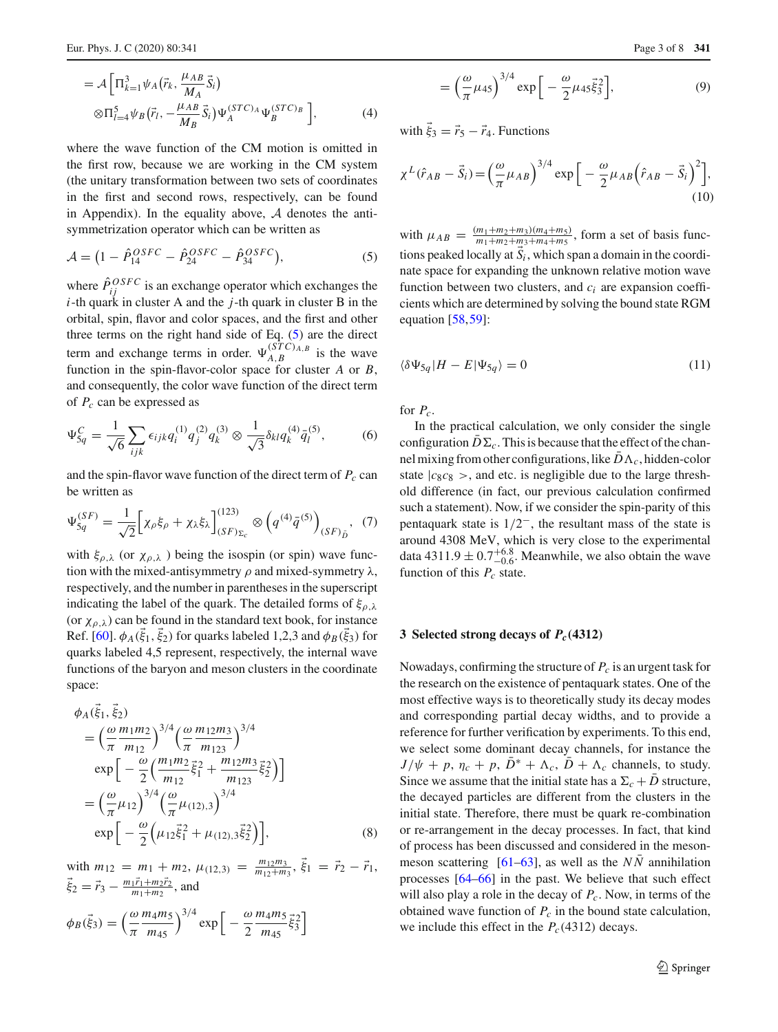$$
= \mathcal{A} \Big[ \Pi_{k=1}^3 \psi_A \big( \vec{r}_k, \frac{\mu_{AB}}{M_A} \vec{S}_i \big) \n\otimes \Pi_{l=4}^5 \psi_B \big( \vec{r}_l, -\frac{\mu_{AB}}{M_B} \vec{S}_i \big) \Psi_A^{(STC)_A} \Psi_B^{(STC)_B} \Big],
$$
\n(4)

where the wave function of the CM motion is omitted in the first row, because we are working in the CM system (the unitary transformation between two sets of coordinates in the first and second rows, respectively, can be found in Appendix). In the equality above, *A* denotes the antisymmetrization operator which can be written as

<span id="page-2-1"></span>
$$
\mathcal{A} = \left(1 - \hat{P}_{14}^{OSFC} - \hat{P}_{24}^{OSFC} - \hat{P}_{34}^{OSFC}\right),\tag{5}
$$

where  $\hat{P}_{ij}^{OSFC}$  is an exchange operator which exchanges the *i*-th quark in cluster A and the *j*-th quark in cluster B in the orbital, spin, flavor and color spaces, and the first and other three terms on the right hand side of Eq.  $(5)$  are the direct term and exchange terms in order.  $\Psi_{A,B}^{(STC)_{A,B}}$  is the wave function in the spin-flavor-color space for cluster *A* or *B*, and consequently, the color wave function of the direct term of *Pc* can be expressed as

$$
\Psi_{5q}^{C} = \frac{1}{\sqrt{6}} \sum_{ijk} \epsilon_{ijk} q_{i}^{(1)} q_{j}^{(2)} q_{k}^{(3)} \otimes \frac{1}{\sqrt{3}} \delta_{kl} q_{k}^{(4)} \bar{q}_{l}^{(5)}, \tag{6}
$$

and the spin-flavor wave function of the direct term of  $P_c$  can be written as

<span id="page-2-2"></span>
$$
\Psi_{5q}^{(SF)} = \frac{1}{\sqrt{2}} \Big[ \chi_{\rho} \xi_{\rho} + \chi_{\lambda} \xi_{\lambda} \Big]_{(SF)_{\Sigma_c}}^{(123)} \otimes \left( q^{(4)} \bar{q}^{(5)} \right)_{(SF)_{\bar{D}}}, \tag{7}
$$

with  $\xi_{\rho,\lambda}$  (or  $\chi_{\rho,\lambda}$ ) being the isospin (or spin) wave function with the mixed-antisymmetry  $\rho$  and mixed-symmetry  $\lambda$ , respectively, and the number in parentheses in the superscript indicating the label of the quark. The detailed forms of  $\xi_{\rho,\lambda}$ (or  $\chi_{\rho,\lambda}$ ) can be found in the standard text book, for instance Ref. [\[60](#page-7-26)].  $\phi_A(\xi_1, \xi_2)$  for quarks labeled 1,2,3 and  $\phi_B(\xi_3)$  for quarks labeled 4,5 represent, respectively, the internal wave functions of the baryon and meson clusters in the coordinate space:

$$
\phi_{A}(\vec{\xi}_{1}, \vec{\xi}_{2})
$$
\n
$$
= \left(\frac{\omega m_{1}m_{2}}{\pi m_{12}}\right)^{3/4} \left(\frac{\omega m_{12}m_{3}}{\pi m_{123}}\right)^{3/4}
$$
\n
$$
\exp\left[-\frac{\omega}{2}\left(\frac{m_{1}m_{2}}{m_{12}}\vec{\xi}_{1}^{2} + \frac{m_{12}m_{3}}{m_{123}}\vec{\xi}_{2}^{2}\right)\right]
$$
\n
$$
= \left(\frac{\omega}{\pi}\mu_{12}\right)^{3/4} \left(\frac{\omega}{\pi}\mu_{(12),3}\right)^{3/4}
$$
\n
$$
\exp\left[-\frac{\omega}{2}\left(\mu_{12}\vec{\xi}_{1}^{2} + \mu_{(12),3}\vec{\xi}_{2}^{2}\right)\right],
$$
\n(8)

with  $m_{12} = m_1 + m_2$ ,  $\mu_{(12,3)} = \frac{m_{12}m_3}{m_{12}+m_3}$ ,  $\vec{\xi}_1 = \vec{r}_2 - \vec{r}_1$ ,  $\vec{\xi}_2 = \vec{r}_3 - \frac{m_1 \vec{r}_1 + m_2 \vec{r}_2}{m_1 + m_2}$ , and  $\phi_B(\vec{\xi}_3) = \left(\frac{\omega}{\pi}\right)$ π *m*4*m*<sup>5</sup> *m*<sup>45</sup>  $\int^{3/4} \exp\left[-\frac{\omega}{2}\right]$ *m*4*m*<sup>5</sup>  $\frac{n_4m_5}{m_{45}}\vec{\xi}_3^2$ 

$$
= \left(\frac{\omega}{\pi}\mu_{45}\right)^{3/4} \exp\left[-\frac{\omega}{2}\mu_{45}\vec{\xi}_{3}^{2}\right],
$$
 (9)

with  $\xi_3 = \vec{r}_5 - \vec{r}_4$ . Functions

=

$$
\chi^{L}(\hat{r}_{AB} - \vec{S}_{i}) = \left(\frac{\omega}{\pi} \mu_{AB}\right)^{3/4} \exp\left[-\frac{\omega}{2} \mu_{AB} \left(\hat{r}_{AB} - \vec{S}_{i}\right)^{2}\right],\tag{10}
$$

with  $\mu_{AB} = \frac{(m_1 + m_2 + m_3)(m_4 + m_5)}{m_1 + m_2 + m_3 + m_4 + m_5}$ , form a set of basis functions peaked locally at  $\vec{S}_i$ , which span a domain in the coordinate space for expanding the unknown relative motion wave function between two clusters, and *ci* are expansion coefficients which are determined by solving the bound state RGM equation  $[58,59]$  $[58,59]$  $[58,59]$  $[58,59]$ :

$$
\langle \delta \Psi_{5q} | H - E | \Psi_{5q} \rangle = 0 \tag{11}
$$

for  $P_c$ .

In the practical calculation, we only consider the single configuration  $D\Sigma_c$ . This is because that the effect of the channel mixing from other configurations, like  $D\Lambda_c$ , hidden-color state  $|c_8c_8\rangle$ , and etc. is negligible due to the large threshold difference (in fact, our previous calculation confirmed such a statement). Now, if we consider the spin-parity of this pentaquark state is 1/2−, the resultant mass of the state is around 4308 MeV, which is very close to the experimental data 4311.9  $\pm$  0.7 $^{+6.8}_{-0.6}$ . Meanwhile, we also obtain the wave function of this  $P_c$  state.

#### <span id="page-2-0"></span>**3 Selected strong decays of** *Pc(***4312***)*

Nowadays, confirming the structure of  $P_c$  is an urgent task for the research on the existence of pentaquark states. One of the most effective ways is to theoretically study its decay modes and corresponding partial decay widths, and to provide a reference for further verification by experiments. To this end, we select some dominant decay channels, for instance the  $J/\psi + p$ ,  $\eta_c + p$ ,  $\bar{D}^* + \Lambda_c$ ,  $\bar{D} + \Lambda_c$  channels, to study. Since we assume that the initial state has a  $\Sigma_c + D$  structure, the decayed particles are different from the clusters in the initial state. Therefore, there must be quark re-combination or re-arrangement in the decay processes. In fact, that kind of process has been discussed and considered in the meson-meson scattering [\[61](#page-7-27)[–63\]](#page-7-28), as well as the  $N\overline{N}$  annihilation processes [\[64](#page-7-29)[–66](#page-7-30)] in the past. We believe that such effect will also play a role in the decay of *Pc*. Now, in terms of the obtained wave function of  $P_c$  in the bound state calculation, we include this effect in the  $P_c(4312)$  decays.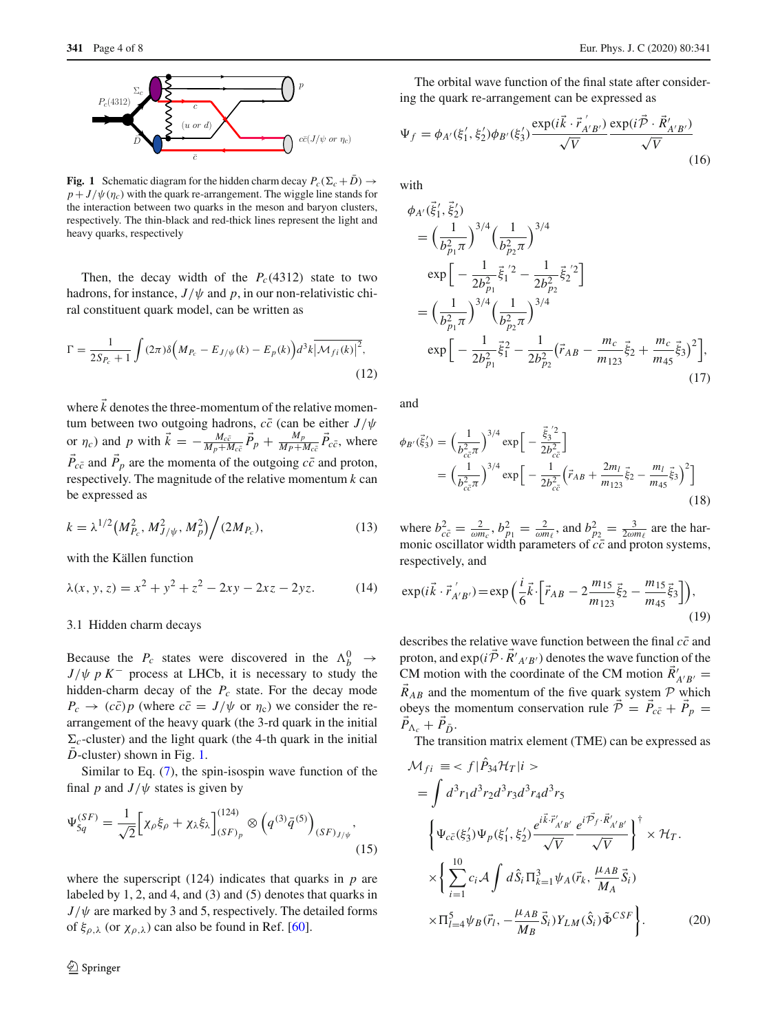

<span id="page-3-0"></span>**Fig. 1** Schematic diagram for the hidden charm decay  $P_c(\Sigma_c + D) \rightarrow$  $p + J/\psi(\eta_c)$  with the quark re-arrangement. The wiggle line stands for the interaction between two quarks in the meson and baryon clusters, respectively. The thin-black and red-thick lines represent the light and heavy quarks, respectively

Then, the decay width of the  $P_c(4312)$  state to two hadrons, for instance,  $J/\psi$  and p, in our non-relativistic chiral constituent quark model, can be written as

$$
\Gamma = \frac{1}{2S_{P_c} + 1} \int (2\pi)\delta \Big(M_{P_c} - E_{J/\psi}(k) - E_p(k)\Big) d^3k \, |\mathcal{M}_{fi}(k)|^2,
$$
\n(12)

where  $k$  denotes the three-momentum of the relative momentum between two outgoing hadrons,  $c\bar{c}$  (can be either  $J/\psi$ or  $\eta_c$ ) and *p* with  $\vec{k} = -\frac{M_c \bar{c}}{M_p + M_c \bar{c}} \vec{P}_p + \frac{M_p}{M_p + M_c \bar{c}} \vec{P}_{c\bar{c}}$ , where  $P_{c\bar{c}}$  and  $P_p$  are the momenta of the outgoing  $c\bar{c}$  and proton, respectively. The magnitude of the relative momentum *k* can be expressed as

$$
k = \lambda^{1/2} \left( M_{P_c}^2, M_{J/\psi}^2, M_p^2 \right) / (2M_{P_c}), \tag{13}
$$

with the Källen function

$$
\lambda(x, y, z) = x^2 + y^2 + z^2 - 2xy - 2xz - 2yz.
$$
 (14)

#### 3.1 Hidden charm decays

Because the  $P_c$  states were discovered in the  $\Lambda_b^0 \rightarrow$  $J/\psi p K^-$  process at LHCb, it is necessary to study the hidden-charm decay of the  $P_c$  state. For the decay mode  $P_c \rightarrow (c\bar{c})p$  (where  $c\bar{c} = J/\psi$  or  $\eta_c$ ) we consider the rearrangement of the heavy quark (the 3-rd quark in the initial  $\Sigma_c$ -cluster) and the light quark (the 4-th quark in the initial  $\overline{D}$ -cluster) shown in Fig. [1.](#page-3-0)

Similar to Eq. [\(7\)](#page-2-2), the spin-isospin wave function of the final *p* and  $J/\psi$  states is given by

<span id="page-3-1"></span>
$$
\Psi_{5q}^{(SF)} = \frac{1}{\sqrt{2}} \Big[ \chi_{\rho} \xi_{\rho} + \chi_{\lambda} \xi_{\lambda} \Big]_{(SF)_{p}}^{(124)} \otimes \left( q^{(3)} \bar{q}^{(5)} \right)_{(SF)_{J/\psi}},
$$
\n(15)

where the superscript (124) indicates that quarks in *p* are labeled by 1, 2, and 4, and (3) and (5) denotes that quarks in  $J/\psi$  are marked by 3 and 5, respectively. The detailed forms of  $\xi_{\rho,\lambda}$  (or  $\chi_{\rho,\lambda}$ ) can also be found in Ref. [\[60\]](#page-7-26).

The orbital wave function of the final state after considering the quark re-arrangement can be expressed as

$$
\Psi_f = \phi_{A'}(\xi_1', \xi_2') \phi_{B'}(\xi_3') \frac{\exp(i\vec{k} \cdot \vec{r}_{A'B'}')}{\sqrt{V}} \frac{\exp(i\vec{P} \cdot \vec{R}_{A'B'}')}{\sqrt{V}}
$$
(16)

with

$$
\phi_{A'}(\vec{\xi}'_1, \vec{\xi}'_2) = \left(\frac{1}{b_{p_1}^2 \pi}\right)^{3/4} \left(\frac{1}{b_{p_2}^2 \pi}\right)^{3/4}
$$
  
\n
$$
\exp\left[-\frac{1}{2b_{p_1}^2}\vec{\xi}_1^{'2} - \frac{1}{2b_{p_2}^2}\vec{\xi}_2^{'2}\right]
$$
  
\n
$$
= \left(\frac{1}{b_{p_1}^2 \pi}\right)^{3/4} \left(\frac{1}{b_{p_2}^2 \pi}\right)^{3/4}
$$
  
\n
$$
\exp\left[-\frac{1}{2b_{p_1}^2}\vec{\xi}_1^2 - \frac{1}{2b_{p_2}^2}(\vec{r}_{AB} - \frac{m_c}{m_{123}}\vec{\xi}_2 + \frac{m_c}{m_{45}}\vec{\xi}_3)^2\right],
$$
\n(17)

and

$$
\phi_{B'}(\vec{\xi}_3') = \left(\frac{1}{b_{c\bar{c}}^2 \pi}\right)^{3/4} \exp\left[-\frac{\vec{\xi}_3^{'2}}{2b_{c\bar{c}}^2}\right]
$$

$$
= \left(\frac{1}{b_{c\bar{c}}^2 \pi}\right)^{3/4} \exp\left[-\frac{1}{2b_{c\bar{c}}^2} \left(\vec{r}_{AB} + \frac{2m_l}{m_{123}}\vec{\xi}_2 - \frac{m_l}{m_{45}}\vec{\xi}_3\right)^2\right]
$$
(18)

where  $b_{c\bar{c}}^2 = \frac{2}{\omega m_c}$ ,  $b_{p_1}^2 = \frac{2}{\omega m_f}$ , and  $b_{p_2}^2 = \frac{3}{2\omega m_f}$  are the harmonic oscillator width parameters of  $c\bar{c}$  and proton systems, respectively, and

$$
\exp(i\vec{k}\cdot\vec{r}_{A'B'}') = \exp\left(\frac{i}{6}\vec{k}\cdot\left[\vec{r}_{AB} - 2\frac{m_{15}}{m_{123}}\vec{\xi}_2 - \frac{m_{15}}{m_{45}}\vec{\xi}_3\right]\right),\tag{19}
$$

describes the relative wave function between the final  $c\bar{c}$  and proton, and  $exp(i\mathcal{P} \cdot R'_{A'B'})$  denotes the wave function of the CM motion with the coordinate of the CM motion  $R'_{A'B'}$  =  $\vec{R}_{AB}$  and the momentum of the five quark system  $\mathcal{P}$  which obeys the momentum conservation rule  $P = P_{c\bar{c}} + P_p =$  $P_{\Lambda_c} + P_{\bar{D}}$ .

The transition matrix element (TME) can be expressed as

$$
\mathcal{M}_{fi} \equiv \langle f | \hat{P}_{34} \mathcal{H}_T | i \rangle
$$
  
\n
$$
= \int d^3 r_1 d^3 r_2 d^3 r_3 d^3 r_4 d^3 r_5
$$
  
\n
$$
\left\{ \Psi_{c\bar{c}}(\xi_3') \Psi_p(\xi_1', \xi_2') \frac{e^{i\vec{k} \cdot \vec{r}_{A'B'}}}{\sqrt{V}} \frac{e^{i\vec{P}_f \cdot \vec{R}_{A'B'}}}{\sqrt{V}} \right\}^{\dagger} \times \mathcal{H}_T.
$$
  
\n
$$
\times \left\{ \sum_{i=1}^{10} c_i \mathcal{A} \int d\hat{S}_i \Pi_{k=1}^3 \psi_A(\vec{r}_k, \frac{\mu_{AB}}{M_A} \vec{S}_i) \right\}
$$
  
\n
$$
\times \Pi_{l=4}^5 \psi_B(\vec{r}_l, -\frac{\mu_{AB}}{M_B} \vec{S}_i) Y_{LM}(\hat{S}_i) \tilde{\Phi}^{CSF} \right\}. \tag{20}
$$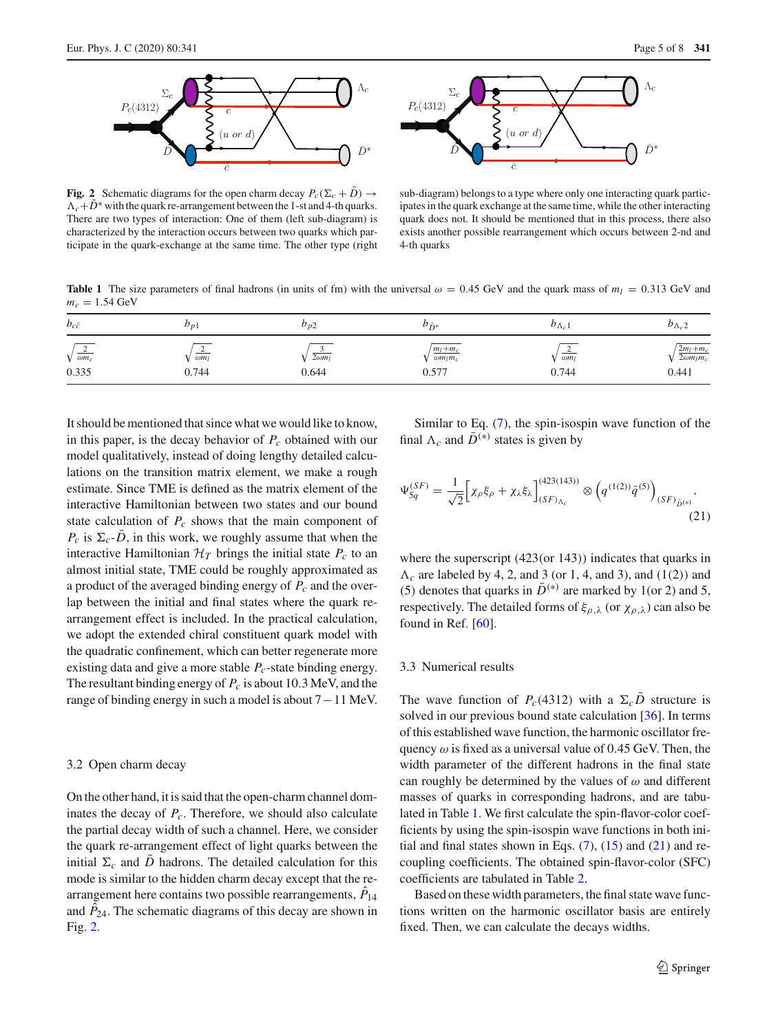

<span id="page-4-0"></span>**Fig. 2** Schematic diagrams for the open charm decay  $P_c(\Sigma_c + D) \rightarrow$  $\Lambda_c + \bar{D}^*$  with the quark re-arrangement between the 1-st and 4-th quarks. There are two types of interaction: One of them (left sub-diagram) is characterized by the interaction occurs between two quarks which participate in the quark-exchange at the same time. The other type (right



sub-diagram) belongs to a type where only one interacting quark participates in the quark exchange at the same time, while the other interacting quark does not. It should be mentioned that in this process, there also exists another possible rearrangement which occurs between 2-nd and 4-th quarks

<span id="page-4-1"></span>**Table 1** The size parameters of final hadrons (in units of fm) with the universal  $\omega = 0.45$  GeV and the quark mass of  $m_l = 0.313$  GeV and  $m_c = 1.54 \text{ GeV}$ 

| $b_{c\bar{c}}$                         | $v_{p_1}$             | $\nu_{p_2}$            | $v_{\bar{D}^*}$                             | $\nu_{\Lambda_{c}}$              | $v_{\Lambda_c 2}$                        |
|----------------------------------------|-----------------------|------------------------|---------------------------------------------|----------------------------------|------------------------------------------|
| $\sqrt{\frac{2}{\omega m_c}}$<br>0.335 | $\omega m_l$<br>0.744 | $2\omega m_l$<br>0.644 | $m_l+m_c$<br>$\omega m_l m_c$<br>$0.57^{2}$ | $\overline{\omega m_l}$<br>0.744 | $2m_l+m_c$<br>$2\omega m_l m_c$<br>0.441 |

It should be mentioned that since what we would like to know, in this paper, is the decay behavior of *Pc* obtained with our model qualitatively, instead of doing lengthy detailed calculations on the transition matrix element, we make a rough estimate. Since TME is defined as the matrix element of the interactive Hamiltonian between two states and our bound state calculation of  $P_c$  shows that the main component of  $P_c$  is  $\Sigma_c$ -*D*, in this work, we roughly assume that when the interactive Hamiltonian  $H_T$  brings the initial state  $P_c$  to an almost initial state, TME could be roughly approximated as a product of the averaged binding energy of *Pc* and the overlap between the initial and final states where the quark rearrangement effect is included. In the practical calculation, we adopt the extended chiral constituent quark model with the quadratic confinement, which can better regenerate more existing data and give a more stable  $P_c$ -state binding energy. The resultant binding energy of *Pc* is about 10.3 MeV, and the range of binding energy in such a model is about 7−11 MeV.

#### 3.2 Open charm decay

On the other hand, it is said that the open-charm channel dominates the decay of  $P_c$ . Therefore, we should also calculate the partial decay width of such a channel. Here, we consider the quark re-arrangement effect of light quarks between the initial  $\Sigma_c$  and *D* hadrons. The detailed calculation for this mode is similar to the hidden charm decay except that the rearrangement here contains two possible rearrangements,  $\ddot{P}_{14}$ and  $P_{24}$ . The schematic diagrams of this decay are shown in Fig. [2.](#page-4-0)

Similar to Eq. [\(7\)](#page-2-2), the spin-isospin wave function of the final  $\Lambda_c$  and  $\bar{D}^{(*)}$  states is given by

<span id="page-4-2"></span>
$$
\Psi_{5q}^{(SF)} = \frac{1}{\sqrt{2}} \Big[ \chi_{\rho} \xi_{\rho} + \chi_{\lambda} \xi_{\lambda} \Big]_{(SF)_{\Lambda_c}}^{(423(143))} \otimes \left( q^{(1(2))} \bar{q}^{(5)} \right)_{(SF)_{\bar{D}^{(*)}}},\tag{21}
$$

where the superscript (423(or 143)) indicates that quarks in  $\Lambda_c$  are labeled by 4, 2, and 3 (or 1, 4, and 3), and (1(2)) and (5) denotes that quarks in  $\bar{D}^{(*)}$  are marked by 1(or 2) and 5, respectively. The detailed forms of  $\xi_{\rho,\lambda}$  (or  $\chi_{\rho,\lambda}$ ) can also be found in Ref. [\[60\]](#page-7-26).

#### 3.3 Numerical results

The wave function of  $P_c(4312)$  with a  $\Sigma_c D$  structure is solved in our previous bound state calculation [\[36](#page-7-11)]. In terms of this established wave function, the harmonic oscillator frequency  $\omega$  is fixed as a universal value of 0.45 GeV. Then, the width parameter of the different hadrons in the final state can roughly be determined by the values of  $\omega$  and different masses of quarks in corresponding hadrons, and are tabulated in Table [1.](#page-4-1) We first calculate the spin-flavor-color coefficients by using the spin-isospin wave functions in both initial and final states shown in Eqs.  $(7)$ ,  $(15)$  and  $(21)$  and recoupling coefficients. The obtained spin-flavor-color (SFC) coefficients are tabulated in Table [2.](#page-5-0)

Based on these width parameters, the final state wave functions written on the harmonic oscillator basis are entirely fixed. Then, we can calculate the decays widths.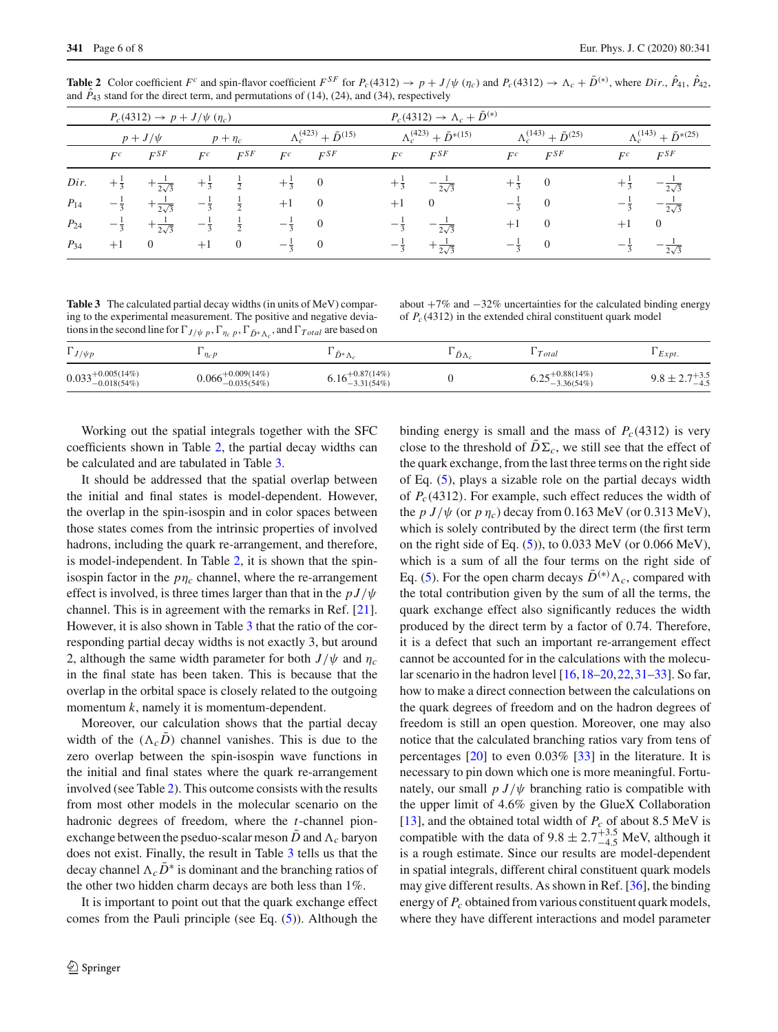|          | $P_c(4312) \to p + J/\psi(\eta_c)$ |                        |                |               |                |                                      |                 | $P_c(4312) \to \Lambda_c + \bar{D}^{(*)}$ |                |                                      |                 |                                       |  |
|----------|------------------------------------|------------------------|----------------|---------------|----------------|--------------------------------------|-----------------|-------------------------------------------|----------------|--------------------------------------|-----------------|---------------------------------------|--|
|          |                                    | $p + J/\psi$           |                | $p + \eta_c$  |                | $\Lambda_c^{(423)} + \bar{D}^{(15)}$ |                 | $\Lambda_c^{(423)} + \bar{D}^{*(15)}$     |                | $\Lambda_c^{(143)} + \bar{D}^{(25)}$ |                 | $\Lambda_c^{(143)} + \bar{D}^{*(25)}$ |  |
|          | $F^c$                              | $F^{SF}$               | $F^c$          | $F^{SF}$      | $F^c$          | $F^{SF}$                             | $F^c$           | $F^{SF}$                                  | $F^c$          | $F^{SF}$                             | $F^c$           | $F^{SF}$                              |  |
| Dir.     | $+\frac{1}{3}$                     | $+\frac{1}{2\sqrt{3}}$ | $+\frac{1}{3}$ | $\frac{1}{2}$ | $+\frac{1}{2}$ | $\overline{0}$                       | $+\frac{1}{3}$  | $-\frac{1}{2\sqrt{3}}$                    | $+\frac{1}{3}$ | $\theta$                             |                 | $-\frac{1}{2\sqrt{3}}$                |  |
| $P_{14}$ | $-\frac{1}{3}$                     | $+\frac{1}{2\sqrt{3}}$ | $-\frac{1}{3}$ | $\frac{1}{2}$ | $+1$           | $\overline{0}$                       | $+1$            | $\theta$                                  |                | $\overline{0}$                       |                 | $-\frac{2\sqrt{3}}{2}$                |  |
| $P_{24}$ | $-\frac{1}{3}$                     | $+\frac{1}{2\sqrt{3}}$ | $-\frac{1}{3}$ | $\frac{1}{2}$ | $-\frac{1}{3}$ | $\overline{0}$                       | $-\overline{3}$ | $-\frac{1}{2\sqrt{3}}$                    | $+1$           | $\overline{0}$                       | $+1$            | $\theta$                              |  |
| $P_{34}$ | $+1$                               | $\overline{0}$         | $+1$           | $\mathbf{0}$  | $-\frac{1}{2}$ | $\overline{0}$                       | $-\frac{1}{3}$  | $+\frac{1}{2\sqrt{3}}$                    | $-\frac{1}{2}$ | $\theta$                             | $-\overline{3}$ | $-\frac{1}{2\sqrt{3}}$                |  |

<span id="page-5-0"></span>**Table 2** Color coefficient  $F^c$  and spin-flavor coefficient  $F^{SF}$  for  $P_c(4312) \rightarrow p + J/\psi(\eta_c)$  and  $P_c(4312) \rightarrow \Lambda_c + \bar{D}^{(*)}$ , where  $Dir, \hat{P}_{41}, \hat{P}_{42}, \hat{P}_{43}$ and  $P_{43}$  stand for the direct term, and permutations of  $(14)$ ,  $(24)$ , and  $(34)$ , respectively

<span id="page-5-1"></span>**Table 3** The calculated partial decay widths (in units of MeV) comparing to the experimental measurement. The positive and negative deviations in the second line for  $\Gamma_{J/\psi}$  *p*,  $\Gamma_{\eta_c}$  *p*,  $\Gamma_{\bar{D}^*\Lambda_c}$ , and  $\Gamma_{Total}$  are based on

about  $+7\%$  and  $-32\%$  uncertainties for the calculated binding energy of *Pc*(4312) in the extended chiral constituent quark model

| $\Gamma_{J/\psi p}$                                         | $\eta_c p$                              | $D^*\Lambda_c$                        | $D\Lambda_c$ | $\cdot$ Total                            | Expt.          |
|-------------------------------------------------------------|-----------------------------------------|---------------------------------------|--------------|------------------------------------------|----------------|
| $0.033^{+0.005(14\%)}_{-0.018(54\%)}$<br>$^{9}$ -0.018(54%) | $+0.009(14%)$<br>0.066<br>$-0.035(54%)$ | $+0.87(14%)$<br>0.IO<br>$-3.31(54\%)$ |              | $+0.88(14%)$<br>$^{9}-3.36(54%)$<br>U.∠J | +3.5<br>$-4.5$ |

Working out the spatial integrals together with the SFC coefficients shown in Table [2,](#page-5-0) the partial decay widths can be calculated and are tabulated in Table [3.](#page-5-1)

It should be addressed that the spatial overlap between the initial and final states is model-dependent. However, the overlap in the spin-isospin and in color spaces between those states comes from the intrinsic properties of involved hadrons, including the quark re-arrangement, and therefore, is model-independent. In Table [2,](#page-5-0) it is shown that the spinisospin factor in the  $p\eta_c$  channel, where the re-arrangement effect is involved, is three times larger than that in the  $p J/\psi$ channel. This is in agreement with the remarks in Ref. [\[21](#page-7-31)]. However, it is also shown in Table [3](#page-5-1) that the ratio of the corresponding partial decay widths is not exactly 3, but around 2, although the same width parameter for both  $J/\psi$  and  $\eta_c$ in the final state has been taken. This is because that the overlap in the orbital space is closely related to the outgoing momentum *k*, namely it is momentum-dependent.

Moreover, our calculation shows that the partial decay width of the  $(\Lambda_c D)$  channel vanishes. This is due to the zero overlap between the spin-isospin wave functions in the initial and final states where the quark re-arrangement involved (see Table [2\)](#page-5-0). This outcome consists with the results from most other models in the molecular scenario on the hadronic degrees of freedom, where the *t*-channel pionexchange between the pseduo-scalar meson *D* and  $\Lambda_c$  baryon does not exist. Finally, the result in Table [3](#page-5-1) tells us that the decay channel  $\Lambda_c D^*$  is dominant and the branching ratios of the other two hidden charm decays are both less than 1%.

It is important to point out that the quark exchange effect comes from the Pauli principle (see Eq. [\(5\)](#page-2-1)). Although the

binding energy is small and the mass of  $P_c(4312)$  is very close to the threshold of  $D\Sigma_c$ , we still see that the effect of the quark exchange, from the last three terms on the right side of Eq. [\(5\)](#page-2-1), plays a sizable role on the partial decays width of *Pc*(4312). For example, such effect reduces the width of the  $p J/\psi$  (or  $p \eta_c$ ) decay from 0.163 MeV (or 0.313 MeV), which is solely contributed by the direct term (the first term on the right side of Eq.  $(5)$ , to 0.033 MeV (or 0.066 MeV), which is a sum of all the four terms on the right side of Eq. [\(5\)](#page-2-1). For the open charm decays  $\bar{D}^{(*)}\Lambda_c$ , compared with the total contribution given by the sum of all the terms, the quark exchange effect also significantly reduces the width produced by the direct term by a factor of 0.74. Therefore, it is a defect that such an important re-arrangement effect cannot be accounted for in the calculations with the molecular scenario in the hadron level [\[16](#page-7-5),[18](#page-7-32)[–20,](#page-7-33)[22](#page-7-34)[,31](#page-7-35)[–33\]](#page-7-8). So far, how to make a direct connection between the calculations on the quark degrees of freedom and on the hadron degrees of freedom is still an open question. Moreover, one may also notice that the calculated branching ratios vary from tens of percentages [\[20\]](#page-7-33) to even 0.03% [\[33](#page-7-8)] in the literature. It is necessary to pin down which one is more meaningful. Fortunately, our small  $p J/\psi$  branching ratio is compatible with the upper limit of 4.6% given by the GlueX Collaboration [\[13](#page-7-2)], and the obtained total width of *Pc* of about 8.5 MeV is compatible with the data of  $9.8 \pm 2.7^{+3.5}_{-4.5}$  MeV, although it is a rough estimate. Since our results are model-dependent in spatial integrals, different chiral constituent quark models may give different results. As shown in Ref. [\[36](#page-7-11)], the binding energy of  $P_c$  obtained from various constituent quark models, where they have different interactions and model parameter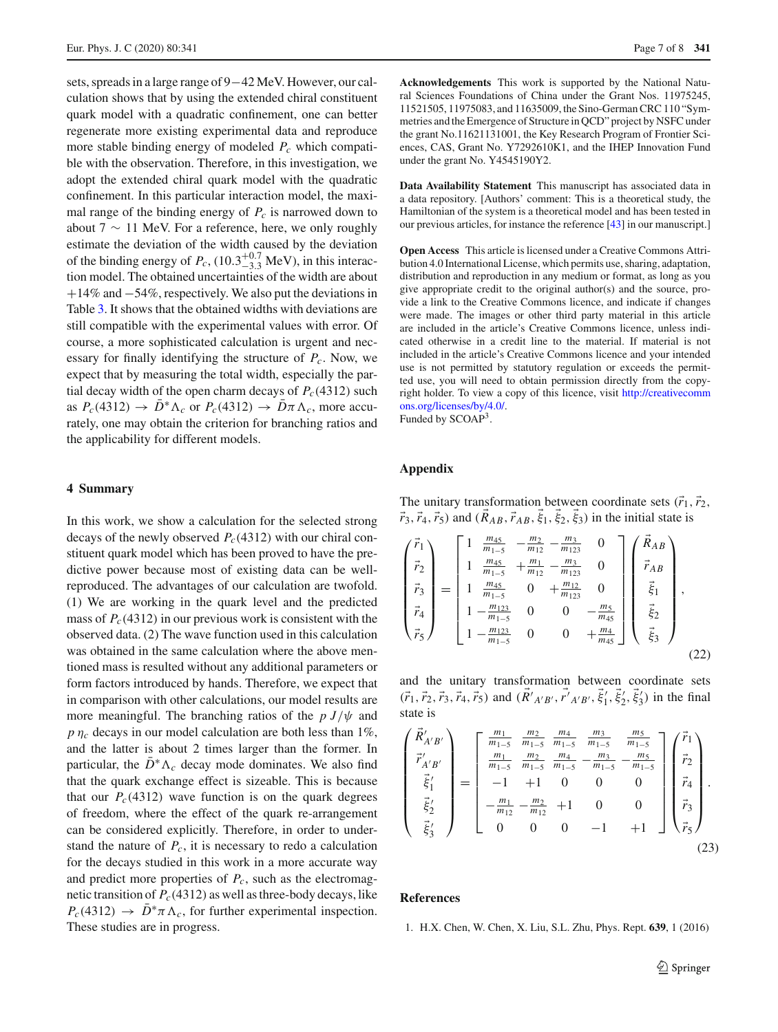sets, spreads in a large range of 9−42 MeV. However, our calculation shows that by using the extended chiral constituent quark model with a quadratic confinement, one can better regenerate more existing experimental data and reproduce more stable binding energy of modeled *Pc* which compatible with the observation. Therefore, in this investigation, we adopt the extended chiral quark model with the quadratic confinement. In this particular interaction model, the maximal range of the binding energy of  $P_c$  is narrowed down to about 7  $\sim$  11 MeV. For a reference, here, we only roughly estimate the deviation of the width caused by the deviation of the binding energy of  $P_c$ , (10.3<sup>+0.7</sup> MeV), in this interaction model. The obtained uncertainties of the width are about +14% and −54%, respectively. We also put the deviations in Table [3.](#page-5-1) It shows that the obtained widths with deviations are still compatible with the experimental values with error. Of course, a more sophisticated calculation is urgent and necessary for finally identifying the structure of *Pc*. Now, we expect that by measuring the total width, especially the partial decay width of the open charm decays of  $P_c(4312)$  such as  $P_c(4312) \rightarrow \bar{D}^* \Lambda_c$  or  $P_c(4312) \rightarrow \bar{D} \pi \Lambda_c$ , more accurately, one may obtain the criterion for branching ratios and the applicability for different models.

# <span id="page-6-1"></span>**4 Summary**

In this work, we show a calculation for the selected strong decays of the newly observed  $P_c(4312)$  with our chiral constituent quark model which has been proved to have the predictive power because most of existing data can be wellreproduced. The advantages of our calculation are twofold. (1) We are working in the quark level and the predicted mass of  $P_c(4312)$  in our previous work is consistent with the observed data. (2) The wave function used in this calculation was obtained in the same calculation where the above mentioned mass is resulted without any additional parameters or form factors introduced by hands. Therefore, we expect that in comparison with other calculations, our model results are more meaningful. The branching ratios of the  $p J/\psi$  and  $p \eta_c$  decays in our model calculation are both less than 1%, and the latter is about 2 times larger than the former. In particular, the  $\bar{D}^* \Lambda_c$  decay mode dominates. We also find that the quark exchange effect is sizeable. This is because that our  $P_c(4312)$  wave function is on the quark degrees of freedom, where the effect of the quark re-arrangement can be considered explicitly. Therefore, in order to understand the nature of  $P_c$ , it is necessary to redo a calculation for the decays studied in this work in a more accurate way and predict more properties of  $P_c$ , such as the electromagnetic transition of *Pc*(4312) as well as three-body decays, like  $P_c(4312) \rightarrow D^* \pi \Lambda_c$ , for further experimental inspection. These studies are in progress.

**Acknowledgements** This work is supported by the National Natural Sciences Foundations of China under the Grant Nos. 11975245, 11521505, 11975083, and 11635009, the Sino-German CRC 110 "Symmetries and the Emergence of Structure in QCD" project by NSFC under the grant No.11621131001, the Key Research Program of Frontier Sciences, CAS, Grant No. Y7292610K1, and the IHEP Innovation Fund under the grant No. Y4545190Y2.

**Data Availability Statement** This manuscript has associated data in a data repository. [Authors' comment: This is a theoretical study, the Hamiltonian of the system is a theoretical model and has been tested in our previous articles, for instance the reference [\[43\]](#page-7-14) in our manuscript.]

**Open Access** This article is licensed under a Creative Commons Attribution 4.0 International License, which permits use, sharing, adaptation, distribution and reproduction in any medium or format, as long as you give appropriate credit to the original author(s) and the source, provide a link to the Creative Commons licence, and indicate if changes were made. The images or other third party material in this article are included in the article's Creative Commons licence, unless indicated otherwise in a credit line to the material. If material is not included in the article's Creative Commons licence and your intended use is not permitted by statutory regulation or exceeds the permitted use, you will need to obtain permission directly from the copyright holder. To view a copy of this licence, visit [http://creativecomm](http://creativecommons.org/licenses/by/4.0/) [ons.org/licenses/by/4.0/.](http://creativecommons.org/licenses/by/4.0/) Funded by SCOAP3.

### **Appendix**

The unitary transformation between coordinate sets  $(\vec{r}_1, \vec{r}_2)$ ,  $\vec{r}_3$ ,  $\vec{r}_4$ ,  $\vec{r}_5$ ) and ( $R_{AB}$ ,  $\vec{r}_{AB}$ ,  $\xi_1$ ,  $\xi_2$ ,  $\xi_3$ ) in the initial state is

$$
\begin{pmatrix}\n\vec{r}_1 \\
\vec{r}_2 \\
\vec{r}_3 \\
\vec{r}_4 \\
\vec{r}_5\n\end{pmatrix} = \begin{bmatrix}\n1 & \frac{m_{45}}{m_{1-5}} & -\frac{m_2}{m_{12}} - \frac{m_3}{m_{123}} & 0 \\
1 & \frac{m_{45}}{m_{1-5}} & +\frac{m_1}{m_{12}} - \frac{m_3}{m_{123}} & 0 \\
1 & \frac{m_{45}}{m_{1-5}} & 0 & +\frac{m_{12}}{m_{123}} & 0 \\
1 - \frac{m_{123}}{m_{1-5}} & 0 & 0 & -\frac{m_5}{m_{45}} \\
1 - \frac{m_{123}}{m_{1-5}} & 0 & 0 & +\frac{m_4}{m_{45}}\n\end{bmatrix} \begin{pmatrix}\n\vec{R}_{AB} \\
\vec{r}_{AB} \\
\vec{\xi}_1 \\
\vec{\xi}_2 \\
\vec{\xi}_3\n\end{pmatrix},
$$
\n(22)

and the unitary transformation between coordinate sets  $(\vec{r}_1, \vec{r}_2, \vec{r}_3, \vec{r}_4, \vec{r}_5)$  and  $(R'_{A'B'}, r'_{A'B'}, \xi'_1, \xi'_2, \xi'_3)$  in the final state is

$$
\begin{pmatrix}\n\vec{R}_{A'B'} \\
\vec{r}_{A'B'} \\
\vec{\xi}_1' \\
\vec{\xi}_2' \\
\vec{\xi}_3'\n\end{pmatrix} = \begin{bmatrix}\n\frac{m_1}{m_{1-5}} & \frac{m_2}{m_{1-5}} & \frac{m_4}{m_{1-5}} & \frac{m_3}{m_{1-5}} & \frac{m_5}{m_{1-5}} \\
\frac{m_1}{m_{1-5}} & \frac{m_2}{m_{1-5}} & \frac{m_4}{m_{1-5}} & -\frac{m_3}{m_{1-5}} & -\frac{m_5}{m_{1-5}} \\
-1 & +1 & 0 & 0 & 0 \\
- \frac{m_1}{m_{12}} & -\frac{m_2}{m_{12}} & +1 & 0 & 0 \\
0 & 0 & 0 & -1 & +1\n\end{bmatrix} \begin{pmatrix}\n\vec{r}_1 \\
\vec{r}_2 \\
\vec{r}_3 \\
\vec{r}_4 \\
\vec{r}_5\n\end{pmatrix}.
$$
\n(23)

#### **References**

<span id="page-6-0"></span>1. H.X. Chen, W. Chen, X. Liu, S.L. Zhu, Phys. Rept. **639**, 1 (2016)